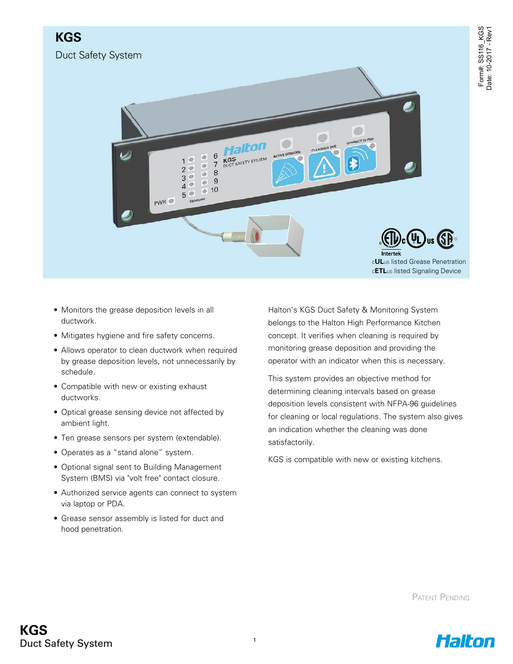

- Monitors the grease deposition levels in all ductwork.
- Mitigates hygiene and fire safety concerns.
- Allows operator to clean ductwork when required by grease deposition levels, not unnecessarily by schedule.
- Compatible with new or existing exhaust ductworks.
- Optical grease sensing device not affected by ambient light.
- Ten grease sensors per system (extendable).
- Operates as a "stand alone" system.
- Optional signal sent to Building Management System (BMS) via "volt free" contact closure.
- Authorized service agents can connect to system via laptop or PDA.
- Grease sensor assembly is listed for duct and hood penetration.

Halton's KGS Duct Safety & Monitoring System belongs to the Halton High Performance Kitchen concept. It verifies when cleaning is required by monitoring grease deposition and providing the operator with an indicator when this is necessary.

This system provides an objective method for determining cleaning intervals based on grease deposition levels consistent with NFPA-96 guidelines for cleaning or local regulations. The system also gives an indication whether the cleaning was done satisfactorily.

KGS is compatible with new or existing kitchens.

Patent Pending

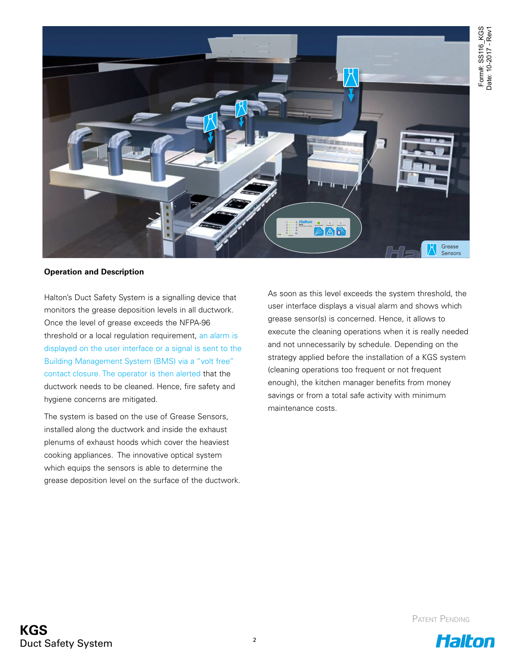

## **Operation and Description**

Halton's Duct Safety System is a signalling device that monitors the grease deposition levels in all ductwork. Once the level of grease exceeds the NFPA-96 threshold or a local regulation requirement, an alarm is displayed on the user interface or a signal is sent to the Building Management System (BMS) via a "volt free" contact closure. The operator is then alerted that the ductwork needs to be cleaned. Hence, fire safety and hygiene concerns are mitigated.

The system is based on the use of Grease Sensors, installed along the ductwork and inside the exhaust plenums of exhaust hoods which cover the heaviest cooking appliances. The innovative optical system which equips the sensors is able to determine the grease deposition level on the surface of the ductwork. As soon as this level exceeds the system threshold, the user interface displays a visual alarm and shows which grease sensor(s) is concerned. Hence, it allows to execute the cleaning operations when it is really needed and not unnecessarily by schedule. Depending on the strategy applied before the installation of a KGS system (cleaning operations too frequent or not frequent enough), the kitchen manager benefits from money savings or from a total safe activity with minimum maintenance costs.

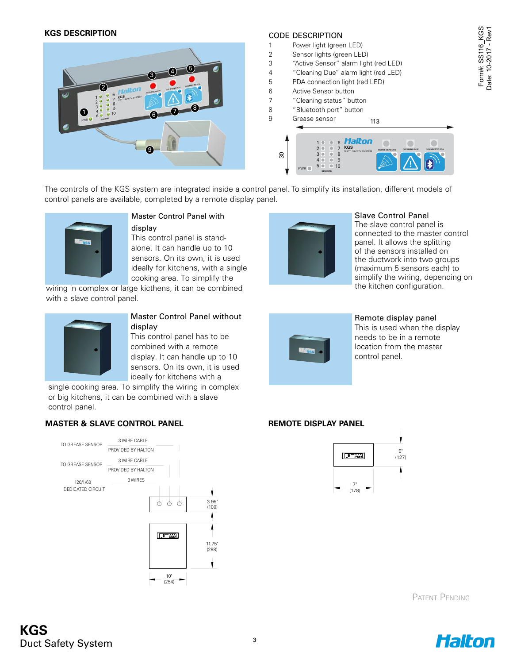#### **KGS DESCRIPTION**



# CODE DESCRIPTION

- 1 Power light (green LED)
- 2 Sensor lights (green LED)
- 3 "Active Sensor" alarm light (red LED)
- 4 "Cleaning Due" alarm light (red LED)
- 5 PDA connection light (red LED)
- 6 Active Sensor button
- 7 "Cleaning status" button
- 8 "Bluetooth port" button



The controls of the KGS system are integrated inside a control panel. To simplify its installation, different models of control panels are available, completed by a remote display panel.



#### Master Control Panel with

#### display

This control panel is standalone. It can handle up to 10 sensors. On its own, it is used ideally for kitchens, with a single cooking area. To simplify the

wiring in complex or large kicthens, it can be combined with a slave control panel.



### Master Control Panel without display

This control panel has to be combined with a remote display. It can handle up to 10 sensors. On its own, it is used control childen with a

single cooking area. To simplify the wiring in complex or big kitchens, it can be combined with a slave control panel.

# **MASTER & SLAVE CONTROL PANEL REMOTE DISPLAY PANEL**





## Slave Control Panel

The slave control panel is connected to the master control panel. It allows the splitting of the sensors installed on the ductwork into two groups (maximum 5 sensors each) to simplify the wiring, depending on the kitchen configuration.



#### Remote display panel This is used when the display needs to be in a remote location from the master control panel.



Patent Pending

Form#: SS116\_KGS<br>Date: 10-2017 - Rev1 Form#: SS116\_KGS Date: 10-2017 - Rev1

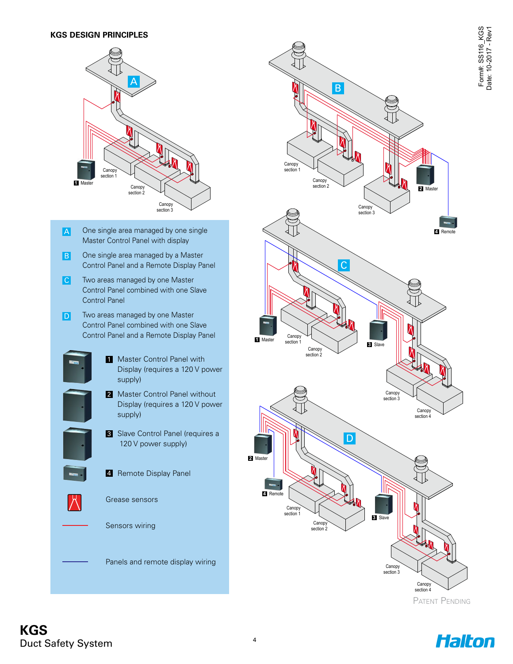

- One single area managed by one single Master Control Panel with display A
- One single area managed by a Master Control Panel and a Remote Display Panel B
- Two areas managed by one Master Control Panel combined with one Slave Control Panel **C**
- Two areas managed by one Master Control Panel combined with one Slave Control Panel and a Remote Display Panel D
	- **1** Master Control Panel with Display (requires a 120 V power supply)
		- 2 Master Control Panel without Display (requires a 120 V power supply)
	- **3** Slave Control Panel (requires a 120 V power supply)
	- 2. Remote Display Panel



section 1

**4** Remote

Grease sensors

Sensors wiring

Panels and remote display wiring